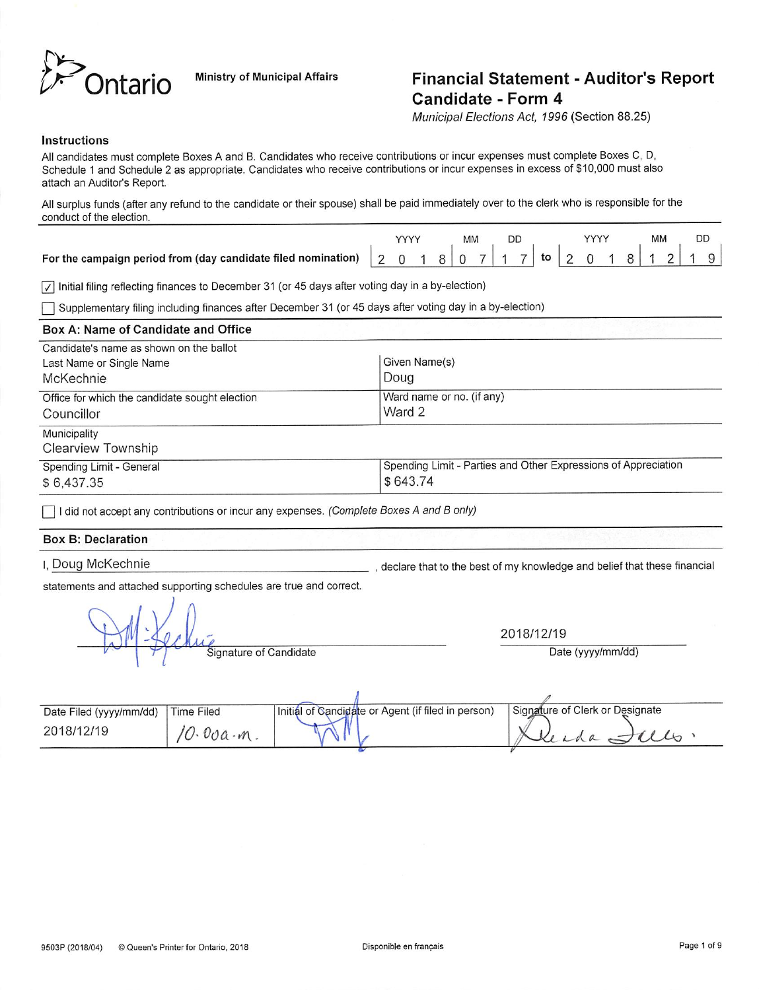

# Ministry of Municipal Affairs **Financial Statement - Auditor's Report** Candidate - Form 4

Municipal Elections Act, 1996 (Section 88.25)

# Instructions

All candidates must complete Boxes A and B. Candidates who receive contributions or incur expenses must complete Boxes C, D, Schedule 1 and Schedule 2 as appropriate. Candidates who receive contributions or incur expenses in excess of \$10,000 must also attach an Auditor's Report.

All surplus funds (after any refund to the candidate or their spouse) shall be paid immediately over to the clerk who is responsible for the conduct of the election.

|  |  | ΜМ |  |  |  |  | <b>MM</b> |  |  |
|--|--|----|--|--|--|--|-----------|--|--|
|  |  |    |  |  |  |  |           |  |  |

 $\sqrt{\phantom{a}}$  Initial filing reflecting finances to December 31 (or 45 days after voting day in a by-election)

Supplementary filing including finances after December 31 (or 45 days after voting day in a by-election)

| Box A: Name of Candidate and Office                          |                                                                            |
|--------------------------------------------------------------|----------------------------------------------------------------------------|
| Candidate's name as shown on the ballot                      |                                                                            |
| Last Name or Single Name                                     | Given Name(s)                                                              |
| McKechnie                                                    | Doug                                                                       |
| Office for which the candidate sought election<br>Councillor | Ward name or no. (if any)<br>Ward 2                                        |
| Municipality<br><b>Clearview Township</b>                    |                                                                            |
| Spending Limit - General<br>\$6,437.35                       | Spending Limit - Parties and Other Expressions of Appreciation<br>\$643.74 |

I did not accept any contributions or incur any expenses. (Complete Boxes A and B only)

# Box B: Declaration

I, Doug McKechnie

, declare that to the best of my knowledge and belief that these financial

statements and attached supporting schedules are true and correct.

 $\mathbb{M}$ 

2018/12/19

Signature of Candidate **Date (yyyy/mm/dd)** 

| Date Filed (yyyy/mm/dd) | Time Filed | Initial of Candidate or Agent (if filed in person) | Signature of Clerk or Designate |
|-------------------------|------------|----------------------------------------------------|---------------------------------|
| 2018/12/19              | $\cdot m$  |                                                    |                                 |
|                         |            |                                                    |                                 |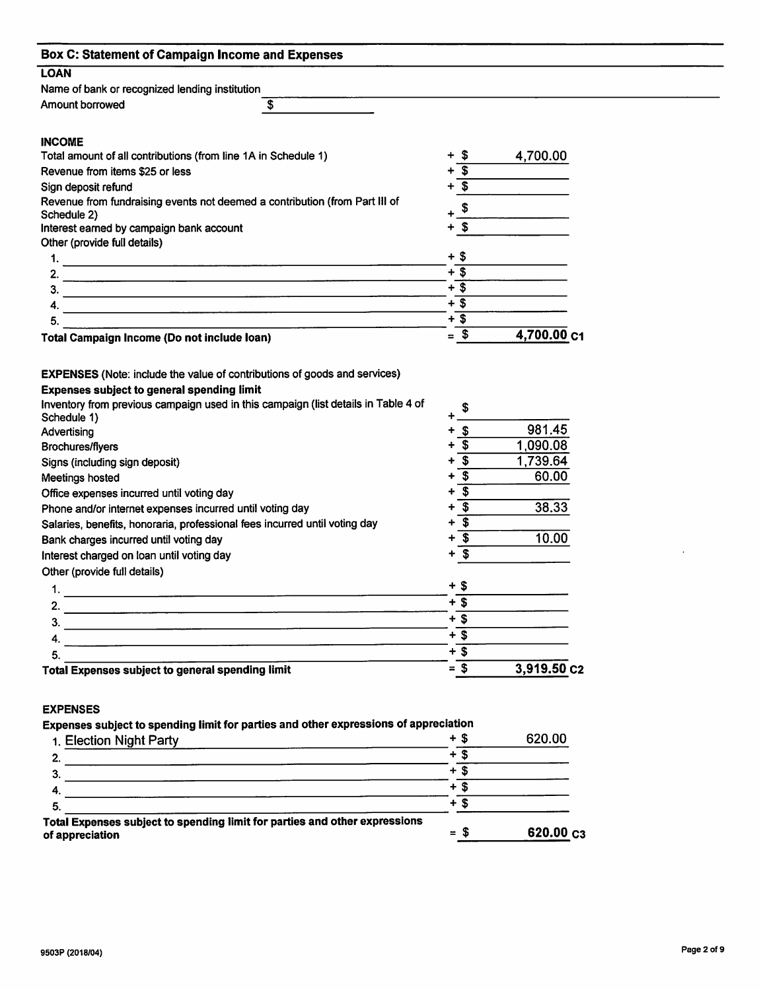| <b>Box C: Statement of Campaign Income and Expenses</b>                                                                                                                                                                                                                                                                                                                                                                           |                                                                                                                                                                                         |                                                           |
|-----------------------------------------------------------------------------------------------------------------------------------------------------------------------------------------------------------------------------------------------------------------------------------------------------------------------------------------------------------------------------------------------------------------------------------|-----------------------------------------------------------------------------------------------------------------------------------------------------------------------------------------|-----------------------------------------------------------|
| <b>LOAN</b>                                                                                                                                                                                                                                                                                                                                                                                                                       |                                                                                                                                                                                         |                                                           |
| Name of bank or recognized lending institution                                                                                                                                                                                                                                                                                                                                                                                    |                                                                                                                                                                                         |                                                           |
| $\ddot{\boldsymbol{\epsilon}}$<br>Amount borrowed                                                                                                                                                                                                                                                                                                                                                                                 |                                                                                                                                                                                         |                                                           |
| <b>INCOME</b>                                                                                                                                                                                                                                                                                                                                                                                                                     |                                                                                                                                                                                         |                                                           |
| Total amount of all contributions (from line 1A in Schedule 1)                                                                                                                                                                                                                                                                                                                                                                    | $+$ \$                                                                                                                                                                                  | 4,700.00                                                  |
| Revenue from items \$25 or less                                                                                                                                                                                                                                                                                                                                                                                                   | $+\overline{\mathcal{S}}$                                                                                                                                                               |                                                           |
| Sign deposit refund                                                                                                                                                                                                                                                                                                                                                                                                               | $+\overline{\$}$                                                                                                                                                                        |                                                           |
| Revenue from fundraising events not deemed a contribution (from Part III of                                                                                                                                                                                                                                                                                                                                                       | $+$ $\sqrt[6]{ }$                                                                                                                                                                       |                                                           |
| Schedule 2)<br>Interest earned by campaign bank account                                                                                                                                                                                                                                                                                                                                                                           | $+$ \$                                                                                                                                                                                  |                                                           |
| Other (provide full details)                                                                                                                                                                                                                                                                                                                                                                                                      |                                                                                                                                                                                         |                                                           |
|                                                                                                                                                                                                                                                                                                                                                                                                                                   | $+$ \$                                                                                                                                                                                  |                                                           |
| 2.<br><u>. An ann an t-an an am Aonaichte ann an am Aonaichte ann an am Aonaichte ann an am Aonaichte ann an an a-</u>                                                                                                                                                                                                                                                                                                            | $+\overline{\$}$                                                                                                                                                                        |                                                           |
| 3.                                                                                                                                                                                                                                                                                                                                                                                                                                | $+\overline{\$}$                                                                                                                                                                        |                                                           |
| 4.                                                                                                                                                                                                                                                                                                                                                                                                                                | $+$ \$                                                                                                                                                                                  |                                                           |
| 5.                                                                                                                                                                                                                                                                                                                                                                                                                                | $+$ \$                                                                                                                                                                                  |                                                           |
| Total Campaign Income (Do not include loan)                                                                                                                                                                                                                                                                                                                                                                                       | $=$ \$                                                                                                                                                                                  | 4,700.00 C1                                               |
| Inventory from previous campaign used in this campaign (list details in Table 4 of<br>Schedule 1)<br>Advertising<br><b>Brochures/flyers</b><br>Signs (including sign deposit)<br>Meetings hosted<br>Office expenses incurred until voting day<br>Phone and/or internet expenses incurred until voting day<br>Salaries, benefits, honoraria, professional fees incurred until voting day<br>Bank charges incurred until voting day | $+$ \$<br>$\overline{\mathbf{s}}$<br>$\overline{\mathfrak{s}}$<br>$\overline{\mathfrak{s}}$<br>$\overline{\mathfrak{s}}$<br>$+$ $\overline{\$}$<br>$+\overline{\$}$<br>$+\overline{\$}$ | 981.45<br>1,090.08<br>1,739.64<br>60.00<br>38.33<br>10.00 |
|                                                                                                                                                                                                                                                                                                                                                                                                                                   | $+$ \$                                                                                                                                                                                  |                                                           |
| Interest charged on loan until voting day                                                                                                                                                                                                                                                                                                                                                                                         |                                                                                                                                                                                         |                                                           |
| Other (provide full details)                                                                                                                                                                                                                                                                                                                                                                                                      | + \$                                                                                                                                                                                    |                                                           |
| 1.                                                                                                                                                                                                                                                                                                                                                                                                                                | + \$                                                                                                                                                                                    |                                                           |
| 2.<br><u> 1989 - John Stein, Amerikaansk politiker (* 1908)</u>                                                                                                                                                                                                                                                                                                                                                                   | $+\overline{\$}$                                                                                                                                                                        |                                                           |
| 3.<br>the contract of the contract of the contract of the contract of the contract of the contract of the contract of                                                                                                                                                                                                                                                                                                             | $+\overline{\$}$                                                                                                                                                                        |                                                           |
| 4.                                                                                                                                                                                                                                                                                                                                                                                                                                | $+$ \$                                                                                                                                                                                  |                                                           |
| 5.<br><b>Total Expenses subject to general spending limit</b>                                                                                                                                                                                                                                                                                                                                                                     | $= $$                                                                                                                                                                                   | 3,919.50 c2                                               |
|                                                                                                                                                                                                                                                                                                                                                                                                                                   |                                                                                                                                                                                         |                                                           |
| <b>EXPENSES</b><br>Expenses subject to spending limit for parties and other expressions of appreciation                                                                                                                                                                                                                                                                                                                           |                                                                                                                                                                                         |                                                           |
| 1. Election Night Party                                                                                                                                                                                                                                                                                                                                                                                                           | $+$ \$                                                                                                                                                                                  | 620.00                                                    |
| the contract of the contract of the contract of the contract of the contract of<br>2.                                                                                                                                                                                                                                                                                                                                             | $+\overline{\$}$                                                                                                                                                                        |                                                           |
| <u> 1989 - Johann Harry Harry Harry Harry Harry Harry Harry Harry Harry Harry Harry Harry Harry Harry Harry Harry</u><br>3.                                                                                                                                                                                                                                                                                                       | $+$ \$                                                                                                                                                                                  |                                                           |
|                                                                                                                                                                                                                                                                                                                                                                                                                                   |                                                                                                                                                                                         |                                                           |

| Total Expenses subject to spending limit for parties and other expressions |          |                            |
|----------------------------------------------------------------------------|----------|----------------------------|
| of appreciation                                                            | $\equiv$ | $620.00 \text{ } \text{c}$ |

4.  $+$  \$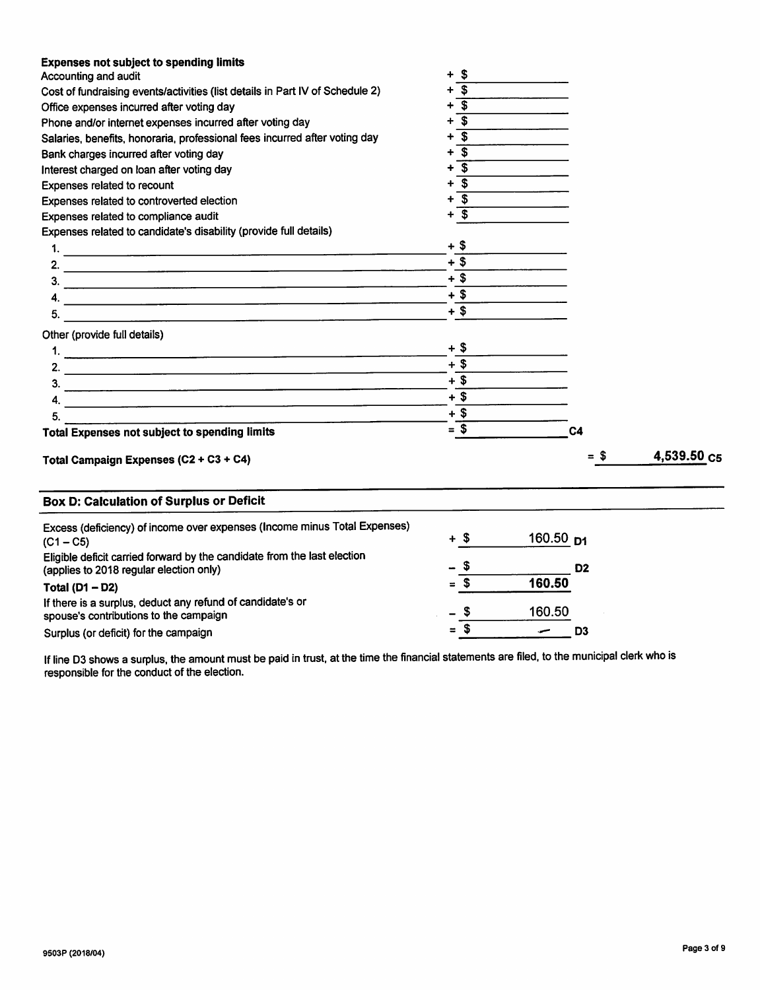| <b>Expenses not subject to spending limits</b>                                                                                         |                                                    |                          |             |
|----------------------------------------------------------------------------------------------------------------------------------------|----------------------------------------------------|--------------------------|-------------|
| Accounting and audit                                                                                                                   | S                                                  |                          |             |
| Cost of fundraising events/activities (list details in Part IV of Schedule 2)                                                          | $\overline{\boldsymbol{\mathfrak{s}}}$             |                          |             |
| Office expenses incurred after voting day                                                                                              | $\overline{\mathbf{s}}$<br>$\overline{\mathbf{s}}$ |                          |             |
| Phone and/or internet expenses incurred after voting day<br>Salaries, benefits, honoraria, professional fees incurred after voting day |                                                    |                          |             |
|                                                                                                                                        |                                                    |                          |             |
| Bank charges incurred after voting day                                                                                                 | $\overline{\mathbf{s}}$<br>٠                       |                          |             |
| Interest charged on loan after voting day                                                                                              | $\overline{\mathbf{s}}$<br>+                       |                          |             |
| Expenses related to recount                                                                                                            | $\overline{\mathbf{s}}$<br>+                       |                          |             |
| Expenses related to controverted election                                                                                              | $\overline{\mathbf{3}}$<br>+                       |                          |             |
| Expenses related to compliance audit                                                                                                   | $\overline{\mathbf{3}}$<br>+                       |                          |             |
| Expenses related to candidate's disability (provide full details)                                                                      |                                                    |                          |             |
|                                                                                                                                        | $+$ \$                                             |                          |             |
|                                                                                                                                        | $+$ \$                                             |                          |             |
|                                                                                                                                        | $+$ \$                                             |                          |             |
| 4.<br><u> 2000 - Andrea Amerikaanse kommunister (</u>                                                                                  | $+$ \$                                             |                          |             |
| 5.<br><u> 1980 - Jan Samuel Barbara, martin da shekara 1980 - An tsa a shekara 1980 - An tsa a shekara 1980 - An tsa a</u>             | $+$ \$                                             |                          |             |
| Other (provide full details)                                                                                                           |                                                    |                          |             |
|                                                                                                                                        | $+$ \$                                             |                          |             |
|                                                                                                                                        | $+$ \$                                             |                          |             |
| $\frac{3}{2}$                                                                                                                          | $+$ \$                                             |                          |             |
|                                                                                                                                        | $+$ \$                                             |                          |             |
| <u> 1980 - Jan James Santa Andrea (h. 1980).</u><br>5.                                                                                 | $+$ \$                                             |                          |             |
| <b>Total Expenses not subject to spending limits</b>                                                                                   | $=$ \$                                             | C <sub>4</sub>           |             |
|                                                                                                                                        |                                                    |                          |             |
| Total Campaign Expenses (C2 + C3 + C4)                                                                                                 |                                                    | $= $$                    | 4,539.50 C5 |
| <b>Box D: Calculation of Surplus or Deficit</b>                                                                                        |                                                    |                          |             |
| Excess (deficiency) of income over expenses (Income minus Total Expenses)                                                              |                                                    |                          |             |
| $(C1 - C5)$                                                                                                                            | $+$ \$                                             | 160.50 p1                |             |
| Eligible deficit carried forward by the candidate from the last election                                                               |                                                    |                          |             |
| (applies to 2018 regular election only)                                                                                                | \$                                                 | D <sub>2</sub>           |             |
| Total ( $D1 - D2$ )                                                                                                                    | $=$ \$                                             | 160.50                   |             |
| If there is a surplus, deduct any refund of candidate's or                                                                             |                                                    |                          |             |
| spouse's contributions to the campaign                                                                                                 | \$                                                 | 160.50                   |             |
| Surplus (or deficit) for the campaign                                                                                                  | = \$                                               | D <sub>3</sub><br>$\sim$ |             |

If line D3 shows a surplus, the amount must be paid in trust, at the time the financial statements are filed, to the municipal clerk who is responsible for the conduct of the election.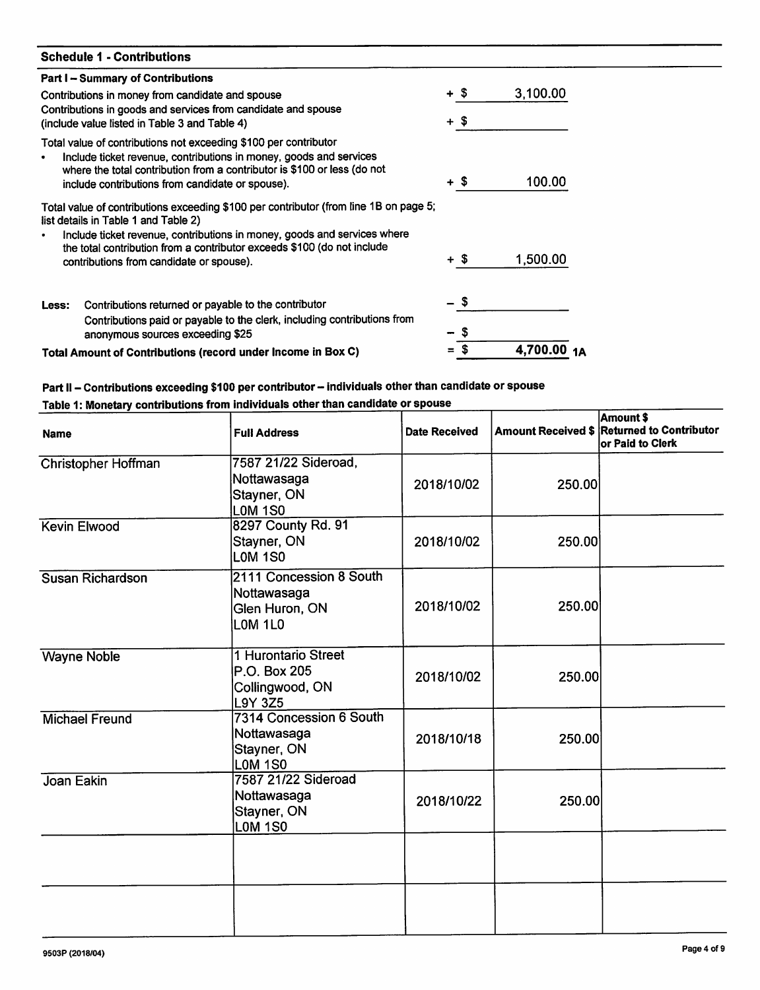| <b>Schedule 1 - Contributions</b>                                                                                                                                                                                                                                                                                                |        |             |
|----------------------------------------------------------------------------------------------------------------------------------------------------------------------------------------------------------------------------------------------------------------------------------------------------------------------------------|--------|-------------|
| <b>Part I - Summary of Contributions</b>                                                                                                                                                                                                                                                                                         |        |             |
| Contributions in money from candidate and spouse                                                                                                                                                                                                                                                                                 | $+$ \$ | 3,100.00    |
| Contributions in goods and services from candidate and spouse<br>(include value listed in Table 3 and Table 4)                                                                                                                                                                                                                   | $+$ \$ |             |
| Total value of contributions not exceeding \$100 per contributor<br>Include ticket revenue, contributions in money, goods and services<br>$\bullet$<br>where the total contribution from a contributor is \$100 or less (do not<br>include contributions from candidate or spouse).                                              | + \$   | 100.00      |
| Total value of contributions exceeding \$100 per contributor (from line 1B on page 5;<br>list details in Table 1 and Table 2)<br>Include ticket revenue, contributions in money, goods and services where<br>the total contribution from a contributor exceeds \$100 (do not include<br>contributions from candidate or spouse). | $+$ \$ | 1,500.00    |
| Contributions returned or payable to the contributor<br>Less:<br>Contributions paid or payable to the clerk, including contributions from<br>anonymous sources exceeding \$25                                                                                                                                                    |        |             |
| Total Amount of Contributions (record under Income in Box C)                                                                                                                                                                                                                                                                     | S      | 4,700.00 1A |

# Part II – Contributions exceeding \$100 per contributor – individuals other than candidate or spouse<br>Table 1: Monetary contributions from individuals other than candidate or spouse

| <b>Name</b>                | <b>Full Address</b>                                                      | <b>Date Received</b> |        | Amount \$<br>Amount Received \$ Returned to Contributor<br>or Paid to Clerk |
|----------------------------|--------------------------------------------------------------------------|----------------------|--------|-----------------------------------------------------------------------------|
| <b>Christopher Hoffman</b> | 7587 21/22 Sideroad,<br>Nottawasaga<br>Stayner, ON<br><b>LOM 1S0</b>     | 2018/10/02           | 250.00 |                                                                             |
| <b>Kevin Elwood</b>        | 8297 County Rd. 91<br>Stayner, ON<br>LOM 1SO                             | 2018/10/02           | 250.00 |                                                                             |
| Susan Richardson           | 2111 Concession 8 South<br> Nottawasaga<br>Glen Huron, ON<br>LOM 1L0     | 2018/10/02           | 250.00 |                                                                             |
| <b>Wayne Noble</b>         | 1 Hurontario Street<br>P.O. Box 205<br>Collingwood, ON<br><b>L9Y 3Z5</b> | 2018/10/02           | 250.00 |                                                                             |
| <b>Michael Freund</b>      | 7314 Concession 6 South<br>Nottawasaga<br>Stayner, ON<br>LOM 1S0         | 2018/10/18           | 250.00 |                                                                             |
| Joan Eakin                 | 7587 21/22 Sideroad<br>Nottawasaga<br>Stayner, ON<br><b>LOM 1S0</b>      | 2018/10/22           | 250.00 |                                                                             |
|                            |                                                                          |                      |        |                                                                             |
|                            |                                                                          |                      |        |                                                                             |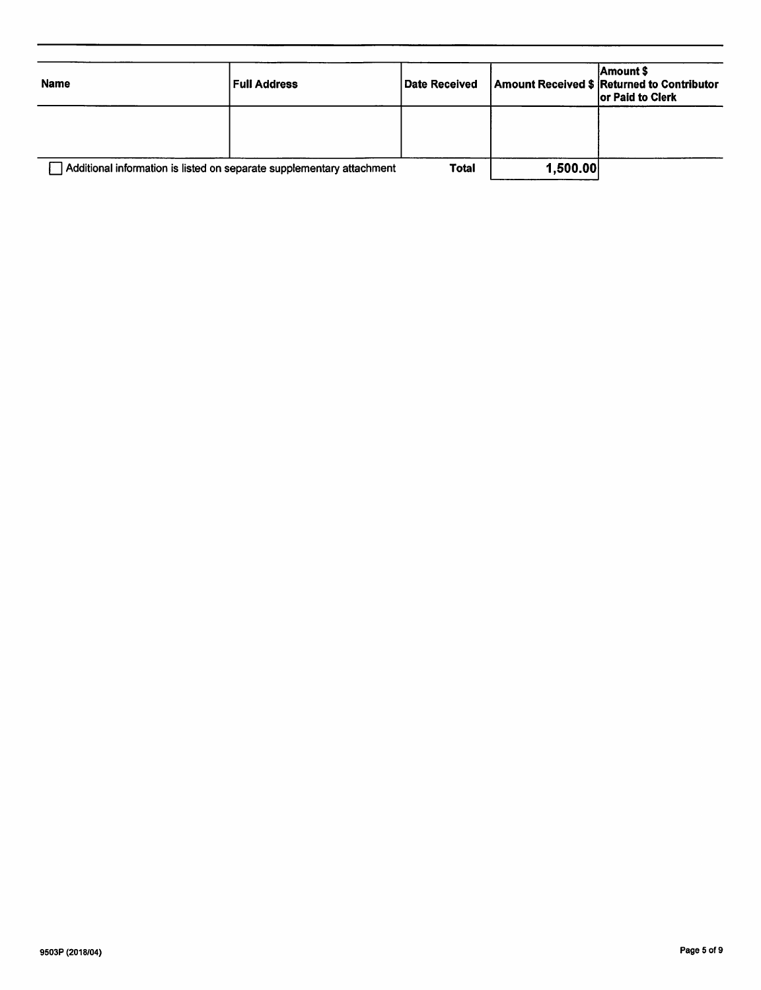| <b>Name</b>                                                           | <b>Full Address</b> | <b>Date Received</b> |          | Amount \$<br>Amount Received \$ Returned to Contributor<br>or Paid to Clerk |
|-----------------------------------------------------------------------|---------------------|----------------------|----------|-----------------------------------------------------------------------------|
|                                                                       |                     |                      |          |                                                                             |
| Additional information is listed on separate supplementary attachment |                     | <b>Total</b>         | 1,500.00 |                                                                             |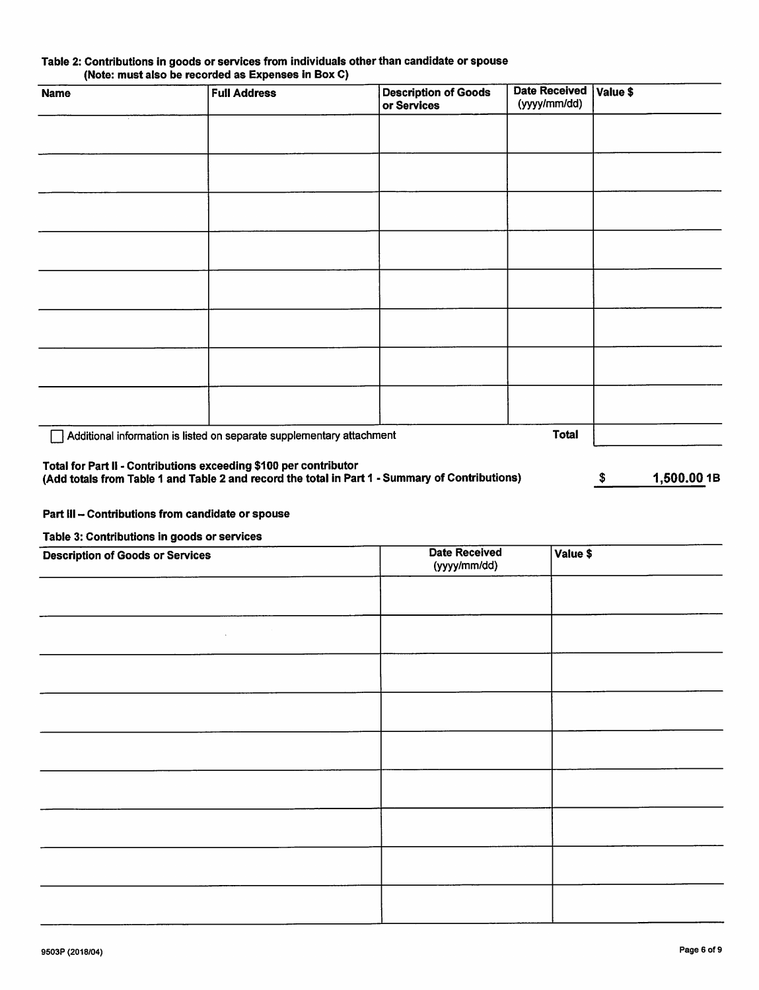| Table 2: Contributions in goods or services from individuals other than candidate or spouse |  |
|---------------------------------------------------------------------------------------------|--|
| (Note: must also be recorded as Expenses in Box C)                                          |  |

| <b>Name</b> | <b>Full Address</b>                                                   | <b>Description of Goods</b><br>or Services | <b>Date Received</b><br>(yyyy/mm/dd) | Value \$ |
|-------------|-----------------------------------------------------------------------|--------------------------------------------|--------------------------------------|----------|
|             |                                                                       |                                            |                                      |          |
|             |                                                                       |                                            |                                      |          |
|             |                                                                       |                                            |                                      |          |
|             |                                                                       |                                            |                                      |          |
|             |                                                                       |                                            |                                      |          |
|             |                                                                       |                                            |                                      |          |
|             |                                                                       |                                            |                                      |          |
|             |                                                                       |                                            |                                      |          |
|             | Additional information is listed on separate supplementary attachment |                                            | <b>Total</b>                         |          |

## Total for Part II - Contributions exceeding \$100 per contributor

(Add totals from Table 1 and Table 2 and record the total in Part 1 - Summary of Contributions) \$ 1,500.0018

# Part III - Contributions from candidate or spouse

Table 3: Contributions in goods or services

| <b>Description of Goods or Services</b> | <b>Date Received</b><br>(yyyy/mm/dd) | Value \$ |
|-----------------------------------------|--------------------------------------|----------|
|                                         |                                      |          |
| $\lambda$                               |                                      |          |
|                                         |                                      |          |
|                                         |                                      |          |
|                                         |                                      |          |
|                                         |                                      |          |
|                                         |                                      |          |
|                                         |                                      |          |
|                                         |                                      |          |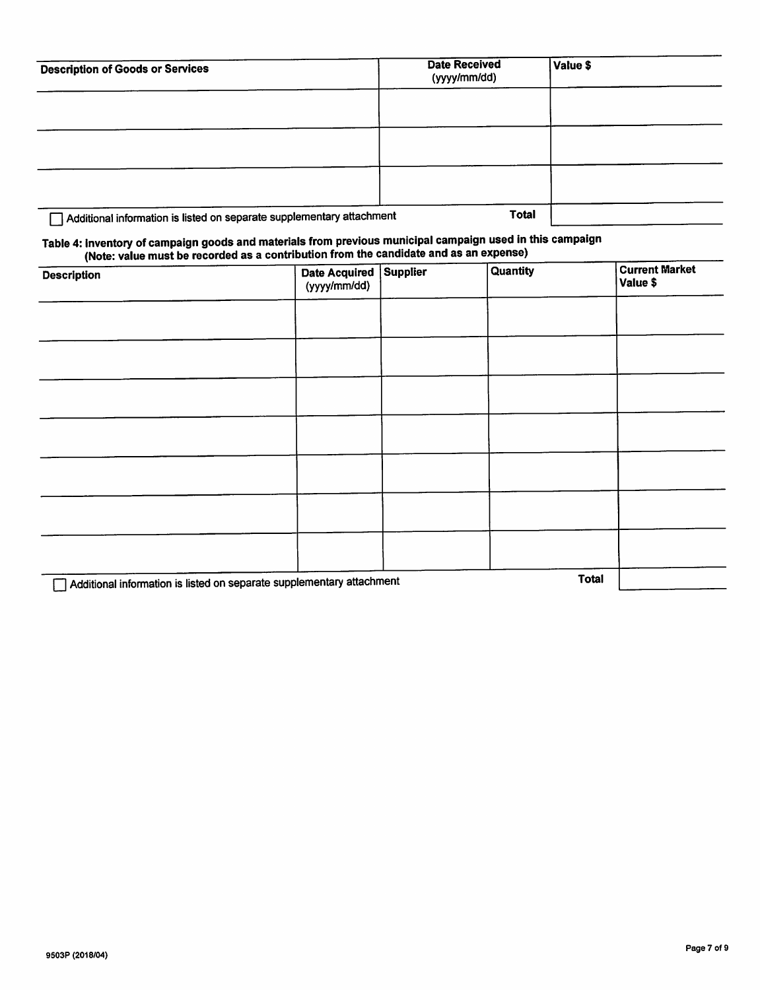| <b>Description of Goods or Services</b>                               | <b>Date Received</b><br>(yyyy/mm/dd) | Value \$ |
|-----------------------------------------------------------------------|--------------------------------------|----------|
|                                                                       |                                      |          |
|                                                                       |                                      |          |
|                                                                       |                                      |          |
|                                                                       |                                      |          |
| Additional information is listed on separate supplementary attachment | <b>Total</b>                         |          |

# Table 4: Inventory of campaign goods and materials from previous municipal campaign used in this campaign

| $\cdots$<br><b>Description</b>                                        | Date Acquired Supplier<br>(yyyy/mm/dd) | Quantity     | <b>Current Market</b><br>Value \$ |
|-----------------------------------------------------------------------|----------------------------------------|--------------|-----------------------------------|
|                                                                       |                                        |              |                                   |
|                                                                       |                                        |              |                                   |
|                                                                       |                                        |              |                                   |
|                                                                       |                                        |              |                                   |
|                                                                       |                                        |              |                                   |
|                                                                       |                                        |              |                                   |
|                                                                       |                                        |              |                                   |
| Additional information is listed on separate supplementary attachment |                                        | <b>Total</b> |                                   |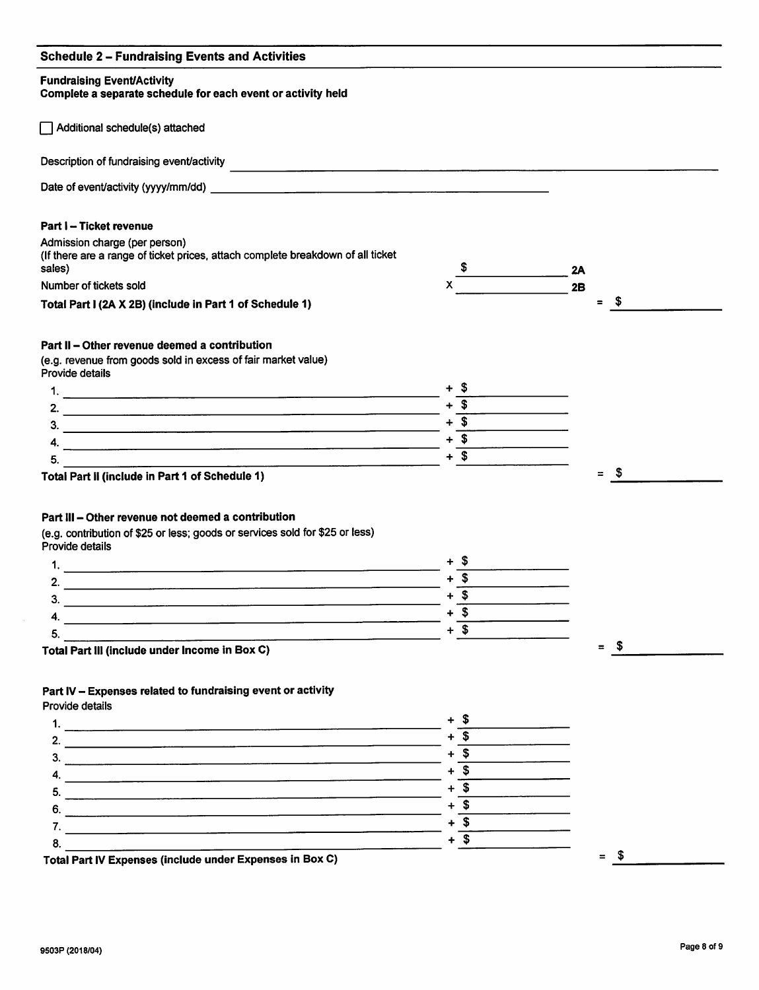# Schedule 2 - Fundralsing Events and Activities

#### Fundraising Event/Activity

Complete a separate schedule for each event or activity held

Additional schedule(s) attached Description of fundraising event/activity Date of event/activity (yyyy/mm/dd) example and the control of the control of the control of the control of the control of the control of the control of the control of the control of the control of the control of the contr Part I - Ticket revenue Admission charge (per person) (If there are a range of ticket prices, attach complete breakdown of all ticket sales) Number of tickets sold X  $\frac{1}{2}$  2A  $x \overline{\qquad \qquad}$  2B

Total Part I (2A X 2B) (include in Part 1 of Schedule 1)  $=$  \$

## Part II - Other revenue deemed a contribution

(e.g. revenue from goods sold in excess of fair market value) Provide details

Total Part II (include in Part 1 of Schedule 1)

# Part III - Other revenue not deemed a contribution

(e.g. contribution of \$25 or less; goods or services sold for \$25 or less) Provide details

| مە                                                                                                                                                                                                                             |  |
|--------------------------------------------------------------------------------------------------------------------------------------------------------------------------------------------------------------------------------|--|
|                                                                                                                                                                                                                                |  |
| Э.                                                                                                                                                                                                                             |  |
| and the second contract of the second second and the second second second and second the second second second second and second second and second second and second second and second second second second second second secon |  |

Total Part III (include under Income in Box C)

# Part IV - Expenses related to fundraising event or activity

Provide details



 $=$  \$

 $=$  \$